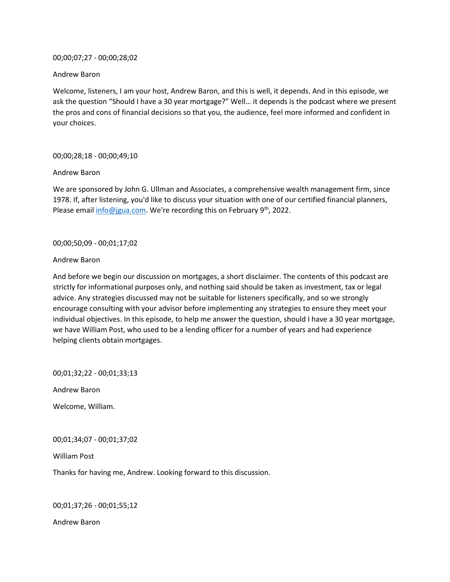### 00;00;07;27 - 00;00;28;02

#### Andrew Baron

Welcome, listeners, I am your host, Andrew Baron, and this is well, it depends. And in this episode, we ask the question "Should I have a 30 year mortgage?" Well… it depends is the podcast where we present the pros and cons of financial decisions so that you, the audience, feel more informed and confident in your choices.

### 00;00;28;18 - 00;00;49;10

#### Andrew Baron

We are sponsored by John G. Ullman and Associates, a comprehensive wealth management firm, since 1978. If, after listening, you'd like to discuss your situation with one of our certified financial planners, Please email [info@jgua.com.](mailto:info@jgua.com) We're recording this on February 9<sup>th</sup>, 2022.

### 00;00;50;09 - 00;01;17;02

#### Andrew Baron

And before we begin our discussion on mortgages, a short disclaimer. The contents of this podcast are strictly for informational purposes only, and nothing said should be taken as investment, tax or legal advice. Any strategies discussed may not be suitable for listeners specifically, and so we strongly encourage consulting with your advisor before implementing any strategies to ensure they meet your individual objectives. In this episode, to help me answer the question, should I have a 30 year mortgage, we have William Post, who used to be a lending officer for a number of years and had experience helping clients obtain mortgages.

00;01;32;22 - 00;01;33;13

Andrew Baron

Welcome, William.

00;01;34;07 - 00;01;37;02

William Post

Thanks for having me, Andrew. Looking forward to this discussion.

00;01;37;26 - 00;01;55;12

Andrew Baron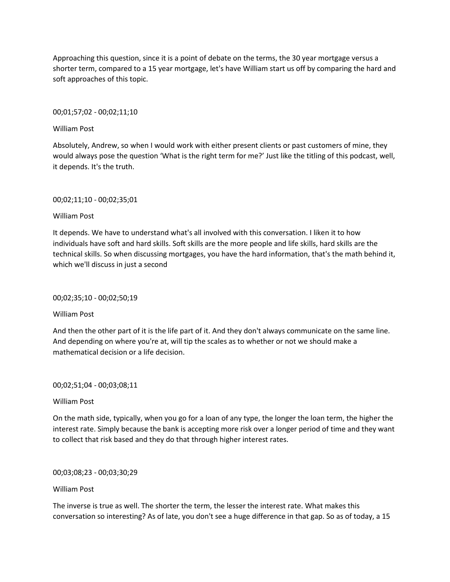Approaching this question, since it is a point of debate on the terms, the 30 year mortgage versus a shorter term, compared to a 15 year mortgage, let's have William start us off by comparing the hard and soft approaches of this topic.

00;01;57;02 - 00;02;11;10

William Post

Absolutely, Andrew, so when I would work with either present clients or past customers of mine, they would always pose the question 'What is the right term for me?' Just like the titling of this podcast, well, it depends. It's the truth.

00;02;11;10 - 00;02;35;01

William Post

It depends. We have to understand what's all involved with this conversation. I liken it to how individuals have soft and hard skills. Soft skills are the more people and life skills, hard skills are the technical skills. So when discussing mortgages, you have the hard information, that's the math behind it, which we'll discuss in just a second

00;02;35;10 - 00;02;50;19

William Post

And then the other part of it is the life part of it. And they don't always communicate on the same line. And depending on where you're at, will tip the scales as to whether or not we should make a mathematical decision or a life decision.

00;02;51;04 - 00;03;08;11

William Post

On the math side, typically, when you go for a loan of any type, the longer the loan term, the higher the interest rate. Simply because the bank is accepting more risk over a longer period of time and they want to collect that risk based and they do that through higher interest rates.

00;03;08;23 - 00;03;30;29

William Post

The inverse is true as well. The shorter the term, the lesser the interest rate. What makes this conversation so interesting? As of late, you don't see a huge difference in that gap. So as of today, a 15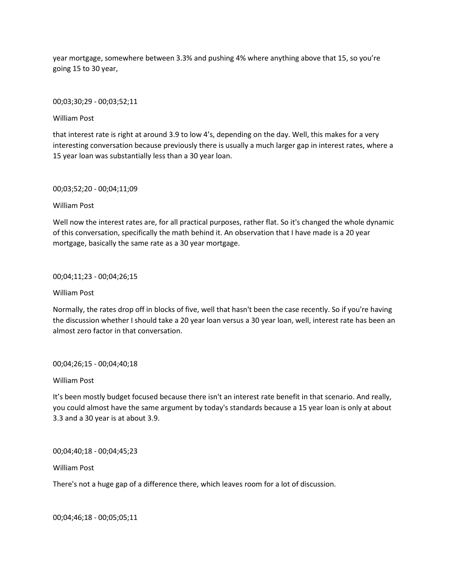year mortgage, somewhere between 3.3% and pushing 4% where anything above that 15, so you're going 15 to 30 year,

00;03;30;29 - 00;03;52;11

William Post

that interest rate is right at around 3.9 to low 4's, depending on the day. Well, this makes for a very interesting conversation because previously there is usually a much larger gap in interest rates, where a 15 year loan was substantially less than a 30 year loan.

00;03;52;20 - 00;04;11;09

William Post

Well now the interest rates are, for all practical purposes, rather flat. So it's changed the whole dynamic of this conversation, specifically the math behind it. An observation that I have made is a 20 year mortgage, basically the same rate as a 30 year mortgage.

00;04;11;23 - 00;04;26;15

William Post

Normally, the rates drop off in blocks of five, well that hasn't been the case recently. So if you're having the discussion whether I should take a 20 year loan versus a 30 year loan, well, interest rate has been an almost zero factor in that conversation.

00;04;26;15 - 00;04;40;18

William Post

It's been mostly budget focused because there isn't an interest rate benefit in that scenario. And really, you could almost have the same argument by today's standards because a 15 year loan is only at about 3.3 and a 30 year is at about 3.9.

00;04;40;18 - 00;04;45;23

William Post

There's not a huge gap of a difference there, which leaves room for a lot of discussion.

00;04;46;18 - 00;05;05;11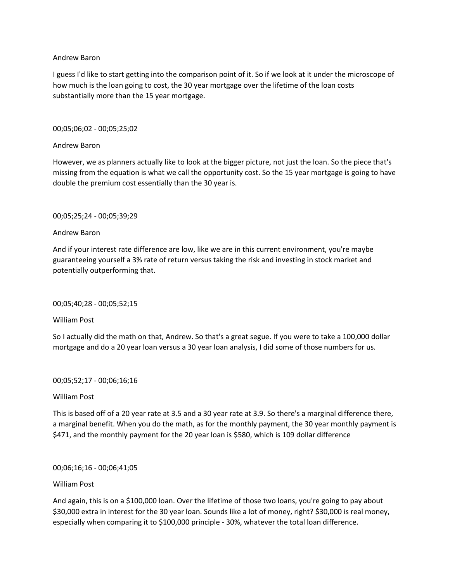## Andrew Baron

I guess I'd like to start getting into the comparison point of it. So if we look at it under the microscope of how much is the loan going to cost, the 30 year mortgage over the lifetime of the loan costs substantially more than the 15 year mortgage.

# 00;05;06;02 - 00;05;25;02

## Andrew Baron

However, we as planners actually like to look at the bigger picture, not just the loan. So the piece that's missing from the equation is what we call the opportunity cost. So the 15 year mortgage is going to have double the premium cost essentially than the 30 year is.

## 00;05;25;24 - 00;05;39;29

## Andrew Baron

And if your interest rate difference are low, like we are in this current environment, you're maybe guaranteeing yourself a 3% rate of return versus taking the risk and investing in stock market and potentially outperforming that.

### 00;05;40;28 - 00;05;52;15

William Post

So I actually did the math on that, Andrew. So that's a great segue. If you were to take a 100,000 dollar mortgage and do a 20 year loan versus a 30 year loan analysis, I did some of those numbers for us.

### 00;05;52;17 - 00;06;16;16

### William Post

This is based off of a 20 year rate at 3.5 and a 30 year rate at 3.9. So there's a marginal difference there, a marginal benefit. When you do the math, as for the monthly payment, the 30 year monthly payment is \$471, and the monthly payment for the 20 year loan is \$580, which is 109 dollar difference

### 00;06;16;16 - 00;06;41;05

# William Post

And again, this is on a \$100,000 loan. Over the lifetime of those two loans, you're going to pay about \$30,000 extra in interest for the 30 year loan. Sounds like a lot of money, right? \$30,000 is real money, especially when comparing it to \$100,000 principle - 30%, whatever the total loan difference.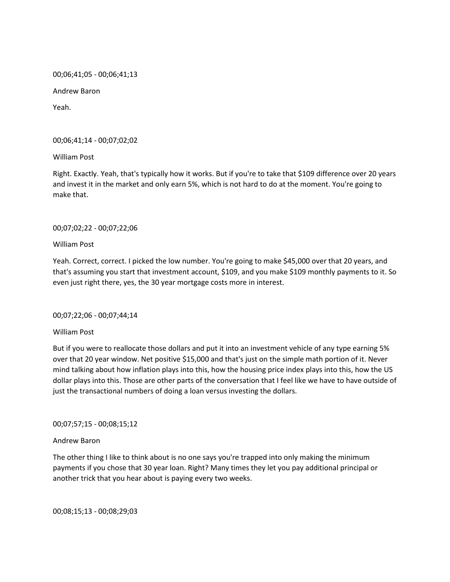00;06;41;05 - 00;06;41;13

Andrew Baron

Yeah.

00;06;41;14 - 00;07;02;02

William Post

Right. Exactly. Yeah, that's typically how it works. But if you're to take that \$109 difference over 20 years and invest it in the market and only earn 5%, which is not hard to do at the moment. You're going to make that.

# 00;07;02;22 - 00;07;22;06

William Post

Yeah. Correct, correct. I picked the low number. You're going to make \$45,000 over that 20 years, and that's assuming you start that investment account, \$109, and you make \$109 monthly payments to it. So even just right there, yes, the 30 year mortgage costs more in interest.

00;07;22;06 - 00;07;44;14

William Post

But if you were to reallocate those dollars and put it into an investment vehicle of any type earning 5% over that 20 year window. Net positive \$15,000 and that's just on the simple math portion of it. Never mind talking about how inflation plays into this, how the housing price index plays into this, how the US dollar plays into this. Those are other parts of the conversation that I feel like we have to have outside of just the transactional numbers of doing a loan versus investing the dollars.

00;07;57;15 - 00;08;15;12

### Andrew Baron

The other thing I like to think about is no one says you're trapped into only making the minimum payments if you chose that 30 year loan. Right? Many times they let you pay additional principal or another trick that you hear about is paying every two weeks.

00;08;15;13 - 00;08;29;03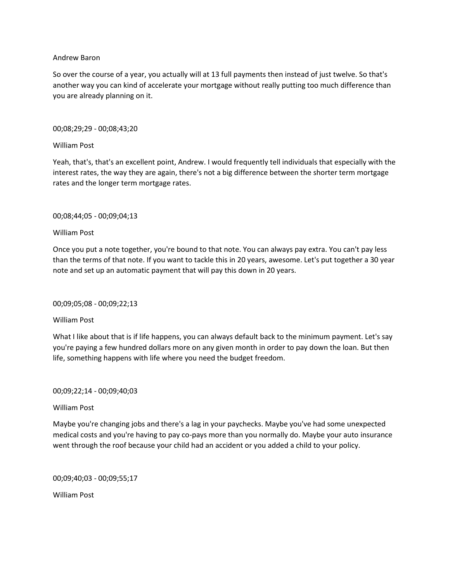### Andrew Baron

So over the course of a year, you actually will at 13 full payments then instead of just twelve. So that's another way you can kind of accelerate your mortgage without really putting too much difference than you are already planning on it.

## 00;08;29;29 - 00;08;43;20

# William Post

Yeah, that's, that's an excellent point, Andrew. I would frequently tell individuals that especially with the interest rates, the way they are again, there's not a big difference between the shorter term mortgage rates and the longer term mortgage rates.

## 00;08;44;05 - 00;09;04;13

## William Post

Once you put a note together, you're bound to that note. You can always pay extra. You can't pay less than the terms of that note. If you want to tackle this in 20 years, awesome. Let's put together a 30 year note and set up an automatic payment that will pay this down in 20 years.

### 00;09;05;08 - 00;09;22;13

# William Post

What I like about that is if life happens, you can always default back to the minimum payment. Let's say you're paying a few hundred dollars more on any given month in order to pay down the loan. But then life, something happens with life where you need the budget freedom.

### 00;09;22;14 - 00;09;40;03

# William Post

Maybe you're changing jobs and there's a lag in your paychecks. Maybe you've had some unexpected medical costs and you're having to pay co-pays more than you normally do. Maybe your auto insurance went through the roof because your child had an accident or you added a child to your policy.

00;09;40;03 - 00;09;55;17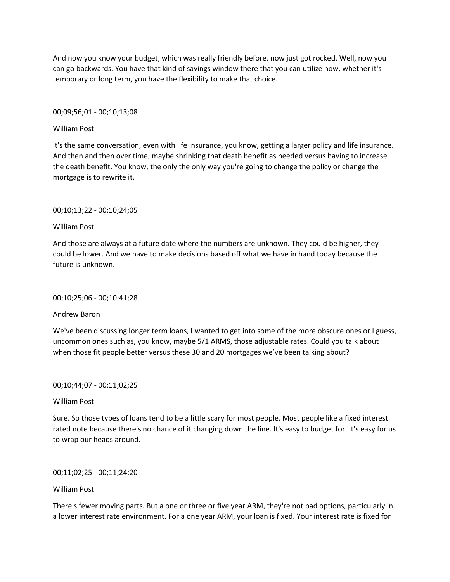And now you know your budget, which was really friendly before, now just got rocked. Well, now you can go backwards. You have that kind of savings window there that you can utilize now, whether it's temporary or long term, you have the flexibility to make that choice.

00;09;56;01 - 00;10;13;08

## William Post

It's the same conversation, even with life insurance, you know, getting a larger policy and life insurance. And then and then over time, maybe shrinking that death benefit as needed versus having to increase the death benefit. You know, the only the only way you're going to change the policy or change the mortgage is to rewrite it.

# 00;10;13;22 - 00;10;24;05

## William Post

And those are always at a future date where the numbers are unknown. They could be higher, they could be lower. And we have to make decisions based off what we have in hand today because the future is unknown.

### 00;10;25;06 - 00;10;41;28

# Andrew Baron

We've been discussing longer term loans, I wanted to get into some of the more obscure ones or I guess, uncommon ones such as, you know, maybe 5/1 ARMS, those adjustable rates. Could you talk about when those fit people better versus these 30 and 20 mortgages we've been talking about?

### 00;10;44;07 - 00;11;02;25

# William Post

Sure. So those types of loans tend to be a little scary for most people. Most people like a fixed interest rated note because there's no chance of it changing down the line. It's easy to budget for. It's easy for us to wrap our heads around.

# 00;11;02;25 - 00;11;24;20

# William Post

There's fewer moving parts. But a one or three or five year ARM, they're not bad options, particularly in a lower interest rate environment. For a one year ARM, your loan is fixed. Your interest rate is fixed for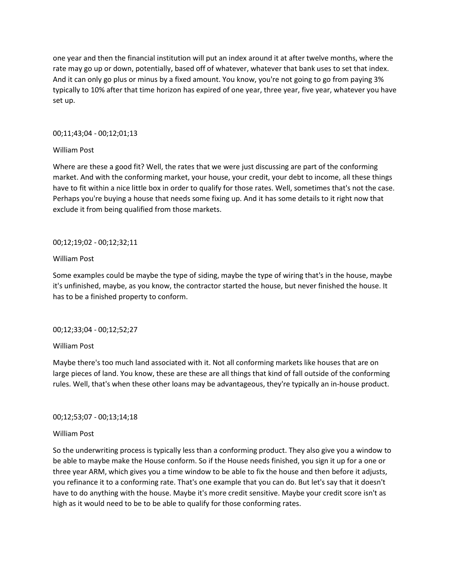one year and then the financial institution will put an index around it at after twelve months, where the rate may go up or down, potentially, based off of whatever, whatever that bank uses to set that index. And it can only go plus or minus by a fixed amount. You know, you're not going to go from paying 3% typically to 10% after that time horizon has expired of one year, three year, five year, whatever you have set up.

## 00;11;43;04 - 00;12;01;13

## William Post

Where are these a good fit? Well, the rates that we were just discussing are part of the conforming market. And with the conforming market, your house, your credit, your debt to income, all these things have to fit within a nice little box in order to qualify for those rates. Well, sometimes that's not the case. Perhaps you're buying a house that needs some fixing up. And it has some details to it right now that exclude it from being qualified from those markets.

## 00;12;19;02 - 00;12;32;11

## William Post

Some examples could be maybe the type of siding, maybe the type of wiring that's in the house, maybe it's unfinished, maybe, as you know, the contractor started the house, but never finished the house. It has to be a finished property to conform.

# 00;12;33;04 - 00;12;52;27

### William Post

Maybe there's too much land associated with it. Not all conforming markets like houses that are on large pieces of land. You know, these are these are all things that kind of fall outside of the conforming rules. Well, that's when these other loans may be advantageous, they're typically an in-house product.

# 00;12;53;07 - 00;13;14;18

### William Post

So the underwriting process is typically less than a conforming product. They also give you a window to be able to maybe make the House conform. So if the House needs finished, you sign it up for a one or three year ARM, which gives you a time window to be able to fix the house and then before it adjusts, you refinance it to a conforming rate. That's one example that you can do. But let's say that it doesn't have to do anything with the house. Maybe it's more credit sensitive. Maybe your credit score isn't as high as it would need to be to be able to qualify for those conforming rates.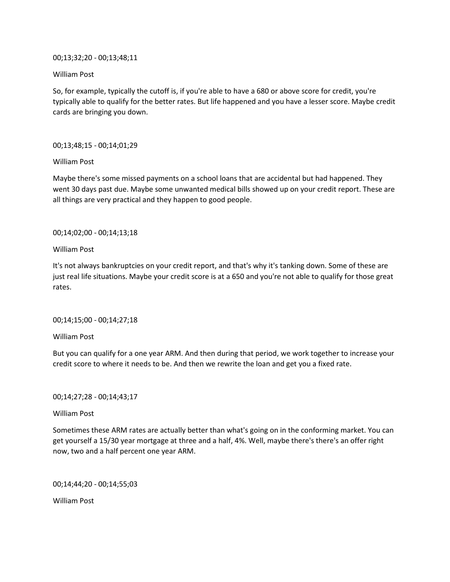00;13;32;20 - 00;13;48;11

William Post

So, for example, typically the cutoff is, if you're able to have a 680 or above score for credit, you're typically able to qualify for the better rates. But life happened and you have a lesser score. Maybe credit cards are bringing you down.

00;13;48;15 - 00;14;01;29

William Post

Maybe there's some missed payments on a school loans that are accidental but had happened. They went 30 days past due. Maybe some unwanted medical bills showed up on your credit report. These are all things are very practical and they happen to good people.

00;14;02;00 - 00;14;13;18

William Post

It's not always bankruptcies on your credit report, and that's why it's tanking down. Some of these are just real life situations. Maybe your credit score is at a 650 and you're not able to qualify for those great rates.

00;14;15;00 - 00;14;27;18

William Post

But you can qualify for a one year ARM. And then during that period, we work together to increase your credit score to where it needs to be. And then we rewrite the loan and get you a fixed rate.

00;14;27;28 - 00;14;43;17

William Post

Sometimes these ARM rates are actually better than what's going on in the conforming market. You can get yourself a 15/30 year mortgage at three and a half, 4%. Well, maybe there's there's an offer right now, two and a half percent one year ARM.

00;14;44;20 - 00;14;55;03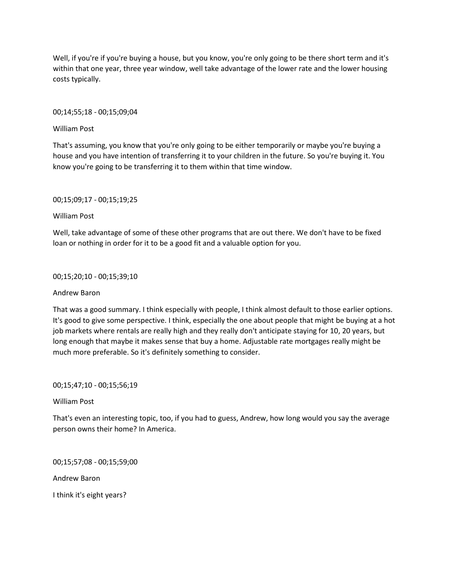Well, if you're if you're buying a house, but you know, you're only going to be there short term and it's within that one year, three year window, well take advantage of the lower rate and the lower housing costs typically.

00;14;55;18 - 00;15;09;04

William Post

That's assuming, you know that you're only going to be either temporarily or maybe you're buying a house and you have intention of transferring it to your children in the future. So you're buying it. You know you're going to be transferring it to them within that time window.

00;15;09;17 - 00;15;19;25

William Post

Well, take advantage of some of these other programs that are out there. We don't have to be fixed loan or nothing in order for it to be a good fit and a valuable option for you.

00;15;20;10 - 00;15;39;10

Andrew Baron

That was a good summary. I think especially with people, I think almost default to those earlier options. It's good to give some perspective. I think, especially the one about people that might be buying at a hot job markets where rentals are really high and they really don't anticipate staying for 10, 20 years, but long enough that maybe it makes sense that buy a home. Adjustable rate mortgages really might be much more preferable. So it's definitely something to consider.

00;15;47;10 - 00;15;56;19

William Post

That's even an interesting topic, too, if you had to guess, Andrew, how long would you say the average person owns their home? In America.

00;15;57;08 - 00;15;59;00

Andrew Baron

I think it's eight years?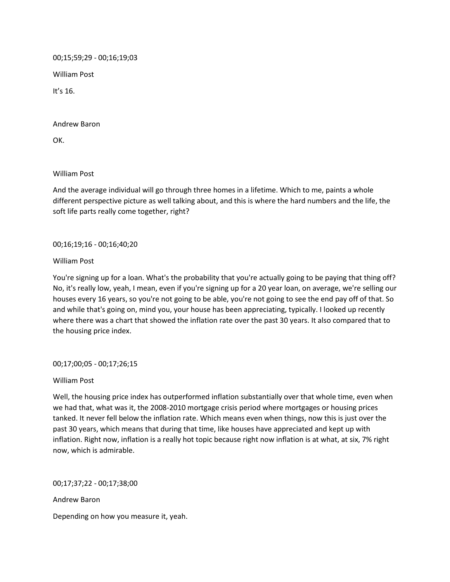00;15;59;29 - 00;16;19;03

William Post

It's 16.

Andrew Baron

OK.

William Post

And the average individual will go through three homes in a lifetime. Which to me, paints a whole different perspective picture as well talking about, and this is where the hard numbers and the life, the soft life parts really come together, right?

# 00;16;19;16 - 00;16;40;20

William Post

You're signing up for a loan. What's the probability that you're actually going to be paying that thing off? No, it's really low, yeah, I mean, even if you're signing up for a 20 year loan, on average, we're selling our houses every 16 years, so you're not going to be able, you're not going to see the end pay off of that. So and while that's going on, mind you, your house has been appreciating, typically. I looked up recently where there was a chart that showed the inflation rate over the past 30 years. It also compared that to the housing price index.

00;17;00;05 - 00;17;26;15

### William Post

Well, the housing price index has outperformed inflation substantially over that whole time, even when we had that, what was it, the 2008-2010 mortgage crisis period where mortgages or housing prices tanked. It never fell below the inflation rate. Which means even when things, now this is just over the past 30 years, which means that during that time, like houses have appreciated and kept up with inflation. Right now, inflation is a really hot topic because right now inflation is at what, at six, 7% right now, which is admirable.

00;17;37;22 - 00;17;38;00

Andrew Baron

Depending on how you measure it, yeah.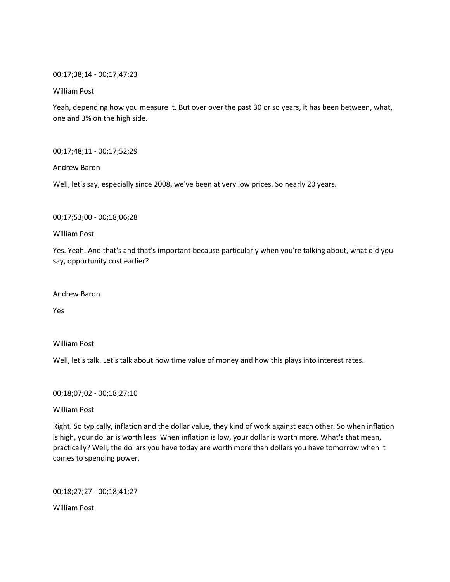### 00;17;38;14 - 00;17;47;23

## William Post

Yeah, depending how you measure it. But over over the past 30 or so years, it has been between, what, one and 3% on the high side.

00;17;48;11 - 00;17;52;29

Andrew Baron

Well, let's say, especially since 2008, we've been at very low prices. So nearly 20 years.

00;17;53;00 - 00;18;06;28

William Post

Yes. Yeah. And that's and that's important because particularly when you're talking about, what did you say, opportunity cost earlier?

Andrew Baron

Yes

William Post

Well, let's talk. Let's talk about how time value of money and how this plays into interest rates.

00;18;07;02 - 00;18;27;10

William Post

Right. So typically, inflation and the dollar value, they kind of work against each other. So when inflation is high, your dollar is worth less. When inflation is low, your dollar is worth more. What's that mean, practically? Well, the dollars you have today are worth more than dollars you have tomorrow when it comes to spending power.

00;18;27;27 - 00;18;41;27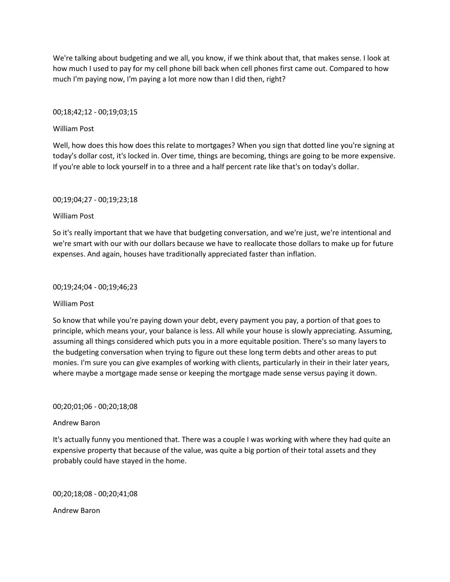We're talking about budgeting and we all, you know, if we think about that, that makes sense. I look at how much I used to pay for my cell phone bill back when cell phones first came out. Compared to how much I'm paying now, I'm paying a lot more now than I did then, right?

## 00;18;42;12 - 00;19;03;15

## William Post

Well, how does this how does this relate to mortgages? When you sign that dotted line you're signing at today's dollar cost, it's locked in. Over time, things are becoming, things are going to be more expensive. If you're able to lock yourself in to a three and a half percent rate like that's on today's dollar.

## 00;19;04;27 - 00;19;23;18

## William Post

So it's really important that we have that budgeting conversation, and we're just, we're intentional and we're smart with our with our dollars because we have to reallocate those dollars to make up for future expenses. And again, houses have traditionally appreciated faster than inflation.

### 00;19;24;04 - 00;19;46;23

### William Post

So know that while you're paying down your debt, every payment you pay, a portion of that goes to principle, which means your, your balance is less. All while your house is slowly appreciating. Assuming, assuming all things considered which puts you in a more equitable position. There's so many layers to the budgeting conversation when trying to figure out these long term debts and other areas to put monies. I'm sure you can give examples of working with clients, particularly in their in their later years, where maybe a mortgage made sense or keeping the mortgage made sense versus paying it down.

### 00;20;01;06 - 00;20;18;08

# Andrew Baron

It's actually funny you mentioned that. There was a couple I was working with where they had quite an expensive property that because of the value, was quite a big portion of their total assets and they probably could have stayed in the home.

00;20;18;08 - 00;20;41;08

Andrew Baron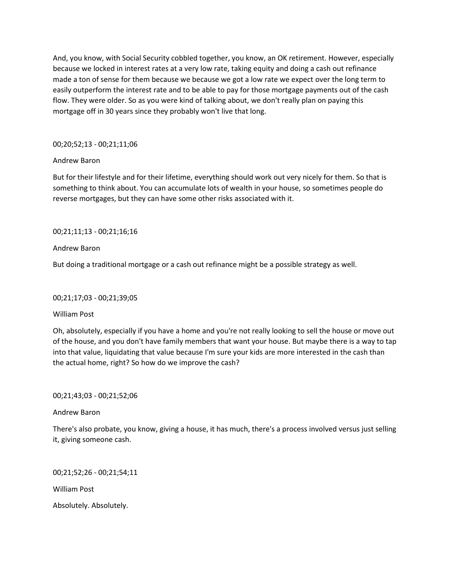And, you know, with Social Security cobbled together, you know, an OK retirement. However, especially because we locked in interest rates at a very low rate, taking equity and doing a cash out refinance made a ton of sense for them because we because we got a low rate we expect over the long term to easily outperform the interest rate and to be able to pay for those mortgage payments out of the cash flow. They were older. So as you were kind of talking about, we don't really plan on paying this mortgage off in 30 years since they probably won't live that long.

# 00;20;52;13 - 00;21;11;06

## Andrew Baron

But for their lifestyle and for their lifetime, everything should work out very nicely for them. So that is something to think about. You can accumulate lots of wealth in your house, so sometimes people do reverse mortgages, but they can have some other risks associated with it.

# 00;21;11;13 - 00;21;16;16

## Andrew Baron

But doing a traditional mortgage or a cash out refinance might be a possible strategy as well.

### 00;21;17;03 - 00;21;39;05

# William Post

Oh, absolutely, especially if you have a home and you're not really looking to sell the house or move out of the house, and you don't have family members that want your house. But maybe there is a way to tap into that value, liquidating that value because I'm sure your kids are more interested in the cash than the actual home, right? So how do we improve the cash?

00;21;43;03 - 00;21;52;06

### Andrew Baron

There's also probate, you know, giving a house, it has much, there's a process involved versus just selling it, giving someone cash.

00;21;52;26 - 00;21;54;11

William Post

Absolutely. Absolutely.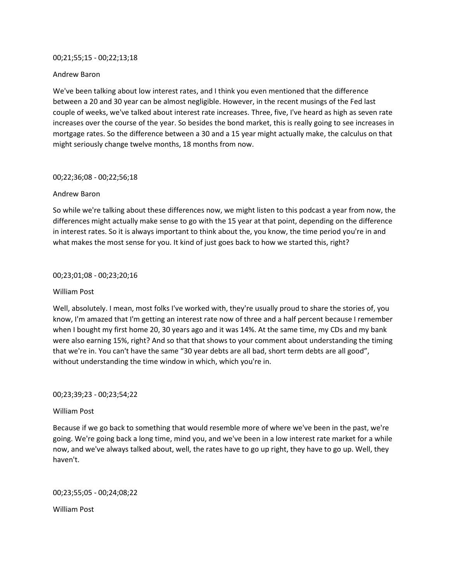#### 00;21;55;15 - 00;22;13;18

### Andrew Baron

We've been talking about low interest rates, and I think you even mentioned that the difference between a 20 and 30 year can be almost negligible. However, in the recent musings of the Fed last couple of weeks, we've talked about interest rate increases. Three, five, I've heard as high as seven rate increases over the course of the year. So besides the bond market, this is really going to see increases in mortgage rates. So the difference between a 30 and a 15 year might actually make, the calculus on that might seriously change twelve months, 18 months from now.

### 00;22;36;08 - 00;22;56;18

### Andrew Baron

So while we're talking about these differences now, we might listen to this podcast a year from now, the differences might actually make sense to go with the 15 year at that point, depending on the difference in interest rates. So it is always important to think about the, you know, the time period you're in and what makes the most sense for you. It kind of just goes back to how we started this, right?

#### 00;23;01;08 - 00;23;20;16

### William Post

Well, absolutely. I mean, most folks I've worked with, they're usually proud to share the stories of, you know, I'm amazed that I'm getting an interest rate now of three and a half percent because I remember when I bought my first home 20, 30 years ago and it was 14%. At the same time, my CDs and my bank were also earning 15%, right? And so that that shows to your comment about understanding the timing that we're in. You can't have the same "30 year debts are all bad, short term debts are all good", without understanding the time window in which, which you're in.

00;23;39;23 - 00;23;54;22

### William Post

Because if we go back to something that would resemble more of where we've been in the past, we're going. We're going back a long time, mind you, and we've been in a low interest rate market for a while now, and we've always talked about, well, the rates have to go up right, they have to go up. Well, they haven't.

00;23;55;05 - 00;24;08;22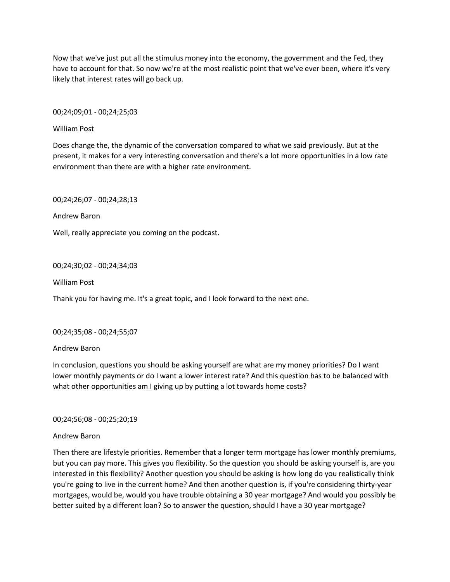Now that we've just put all the stimulus money into the economy, the government and the Fed, they have to account for that. So now we're at the most realistic point that we've ever been, where it's very likely that interest rates will go back up.

00;24;09;01 - 00;24;25;03

William Post

Does change the, the dynamic of the conversation compared to what we said previously. But at the present, it makes for a very interesting conversation and there's a lot more opportunities in a low rate environment than there are with a higher rate environment.

00;24;26;07 - 00;24;28;13

Andrew Baron

Well, really appreciate you coming on the podcast.

00;24;30;02 - 00;24;34;03

William Post

Thank you for having me. It's a great topic, and I look forward to the next one.

### 00;24;35;08 - 00;24;55;07

### Andrew Baron

In conclusion, questions you should be asking yourself are what are my money priorities? Do I want lower monthly payments or do I want a lower interest rate? And this question has to be balanced with what other opportunities am I giving up by putting a lot towards home costs?

00;24;56;08 - 00;25;20;19

### Andrew Baron

Then there are lifestyle priorities. Remember that a longer term mortgage has lower monthly premiums, but you can pay more. This gives you flexibility. So the question you should be asking yourself is, are you interested in this flexibility? Another question you should be asking is how long do you realistically think you're going to live in the current home? And then another question is, if you're considering thirty-year mortgages, would be, would you have trouble obtaining a 30 year mortgage? And would you possibly be better suited by a different loan? So to answer the question, should I have a 30 year mortgage?